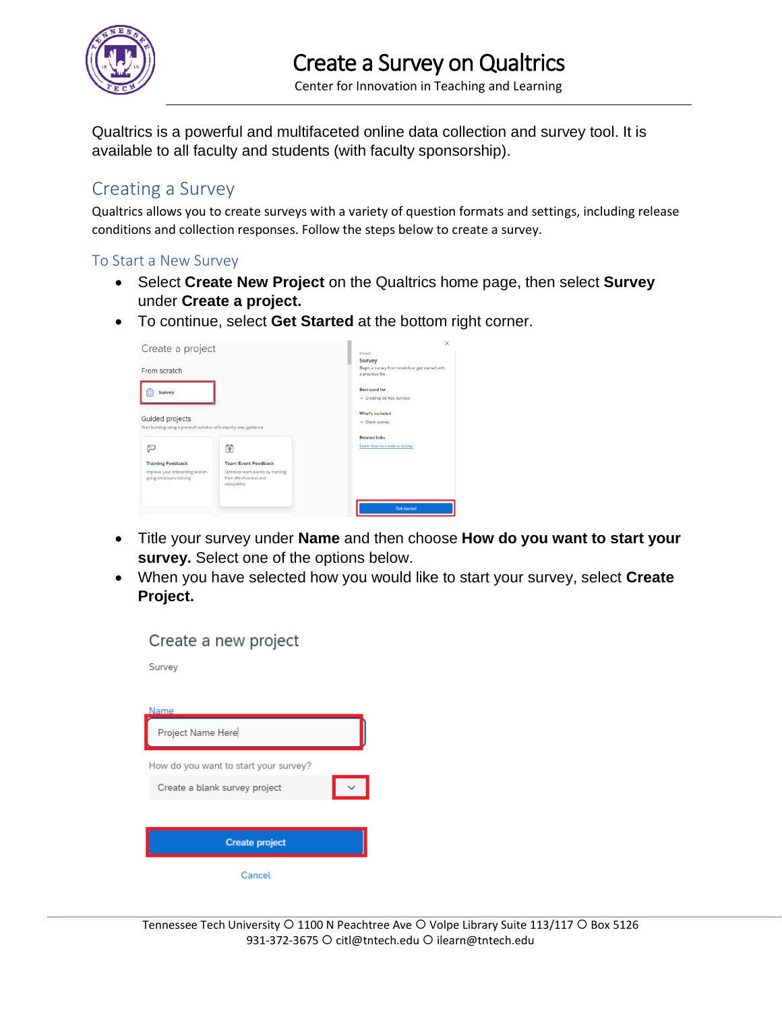

Center for Innovation in Teaching and Learning

Qualtrics is a powerful and multifaceted online data collection and survey tool. It is available to all faculty and students (with faculty sponsorship).

## Creating a Survey

Qualtrics allows you to create surveys with a variety of question formats and settings, including release conditions and collection responses. Follow the steps below to create a survey.

## To Start a New Survey

- Select **Create New Project** on the Qualtrics home page, then select **Survey**  under **Create a project.**
- To continue, select **Get Started** at the bottom right corner.



- Title your survey under **Name** and then choose **How do you want to start your survey.** Select one of the options below.
- When you have selected how you would like to start your survey, select **Create Project.**

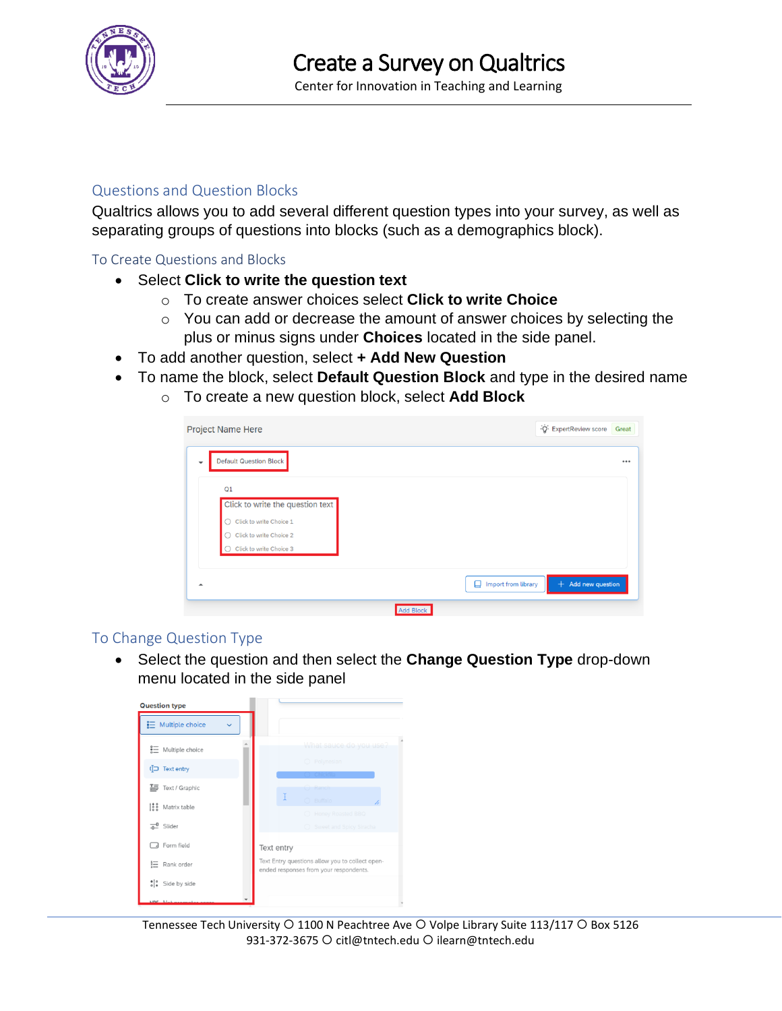

## Questions and Question Blocks

Qualtrics allows you to add several different question types into your survey, as well as separating groups of questions into blocks (such as a demographics block).

To Create Questions and Blocks

- Select **Click to write the question text**
	- o To create answer choices select **Click to write Choice**
	- o You can add or decrease the amount of answer choices by selecting the plus or minus signs under **Choices** located in the side panel.
- To add another question, select **+ Add New Question**
- To name the block, select **Default Question Block** and type in the desired name
	- o To create a new question block, select **Add Block**

|                               | <b>Project Name Here</b>         |  | Q. ExpertReview score | Great |
|-------------------------------|----------------------------------|--|-----------------------|-------|
| <b>Default Question Block</b> |                                  |  |                       |       |
| Q1                            |                                  |  |                       |       |
|                               | Click to write the question text |  |                       |       |
| n                             | Click to write Choice 1          |  |                       |       |
| - 1                           | Click to write Choice 2          |  |                       |       |
|                               | Click to write Choice 3          |  |                       |       |

## To Change Question Type

• Select the question and then select the **Change Question Type** drop-down menu located in the side panel

| <b>Question type</b>             |                                                                                           |  |  |  |  |
|----------------------------------|-------------------------------------------------------------------------------------------|--|--|--|--|
| $\equiv$ Multiple choice         |                                                                                           |  |  |  |  |
| $\frac{2}{3}$ Multiple choice    | What sauce do you use?                                                                    |  |  |  |  |
| Text entry                       | $O$ Polynesian                                                                            |  |  |  |  |
| 三 Text / Graphic                 | <b>C</b> Ranch<br>Ŧ                                                                       |  |  |  |  |
| $\frac{188}{28}$<br>Matrix table | O Buffalo<br>7,<br>O Honey Roasted BBO                                                    |  |  |  |  |
| 교 Slider                         | ○ Sweet and Spicy Siracha                                                                 |  |  |  |  |
| Form field                       | Text entry                                                                                |  |  |  |  |
| 這<br>Rank order                  | Text Entry questions allow you to collect open-<br>ended responses from your respondents. |  |  |  |  |
| : Side by side                   |                                                                                           |  |  |  |  |
|                                  |                                                                                           |  |  |  |  |

Tennessee Tech University O 1100 N Peachtree Ave O Volpe Library Suite 113/117 O Box 5126 931-372-3675 O citl@tntech.edu O ilearn@tntech.edu